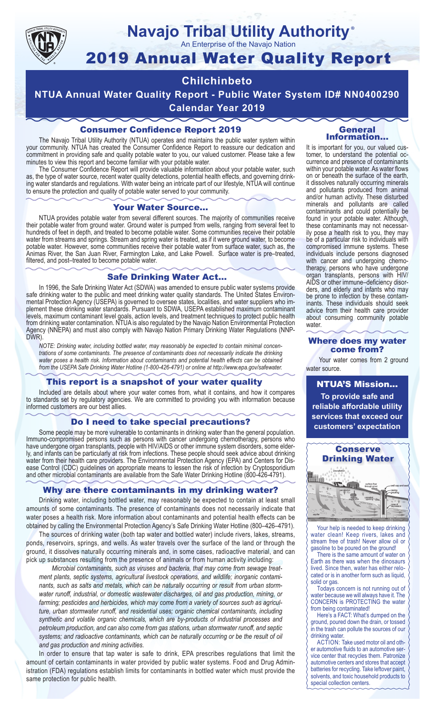

# **Navajo Tribal Utility Authority** ®

An Enterprise of the Navajo Nation

# 2019 Annual Water Quality Report

# **Chilchinbeto**

**NTUA Annual Water Quality Report - Public Water System ID# NN0400290 Calendar Year 2019**

# Consumer Confidence Report 2019

The Navajo Tribal Utility Authority (NTUA) operates and maintains the public water system within your community. NTUA has created the Consumer Confidence Report to reassure our dedication and commitment in providing safe and quality potable water to you, our valued customer. Please take a few minutes to view this report and become familiar with your potable water.

The Consumer Confidence Report will provide valuable information about your potable water, such as, the type of water source, recent water quality detections, potential health effects, and governing drinking water standards and regulations. With water being an intricate part of our lifestyle, NTUA will continue to ensure the protection and quality of potable water served to your community.

#### Your Water Source…

NTUA provides potable water from several different sources. The majority of communities receive their potable water from ground water. Ground water is pumped from wells, ranging from several feet to hundreds of feet in depth, and treated to become potable water. Some communities receive their potable water from streams and springs. Stream and spring water is treated, as if it were ground water, to become potable water. However, some communities receive their potable water from surface water, such as, the Animas River, the San Juan River, Farmington Lake, and Lake Powell. Surface water is pre–treated, filtered, and post–treated to become potable water.

## Safe Drinking Water Act…

In 1996, the Safe Drinking Water Act (SDWA) was amended to ensure public water systems provide safe drinking water to the public and meet drinking water quality standards. The United States Environmental Protection Agency (USEPA) is governed to oversee states, localities, and water suppliers who implement these drinking water standards. Pursuant to SDWA, USEPA established maximum contaminant levels, maximum contaminant level goals, action levels, and treatment techniques to protect public health from drinking water contamination. NTUA is also regulated by the Navajo Nation Environmental Protection Agency (NNEPA) and must also comply with Navajo Nation Primary Drinking Water Regulations (NNP-DWR)

*NOTE: Drinking water, including bottled water, may reasonably be expected to contain minimal concentrations of some contaminants. The presence of contaminants does not necessarily indicate the drinking water poses a health risk. Information about contaminants and potential health effects can be obtained from the USEPA Safe Drinking Water Hotline (1-800-426-4791) or online at http://www.epa.gov/safewater.*

# This report is a snapshot of your water quality

Included are details about where your water comes from, what it contains, and how it compares to standards set by regulatory agencies. We are committed to providing you with information because informed customers are our best allies.

## Do I need to take special precautions?

Some people may be more vulnerable to contaminants in drinking water than the general population. Immuno-compromised persons such as persons with cancer undergoing chemotherapy, persons who have undergone organ transplants, people with HIV/AIDS or other immune system disorders, some elderly, and infants can be particularly at risk from infections. These people should seek advice about drinking water from their health care providers. The Environmental Protection Agency (EPA) and Centers for Disease Control (CDC) guidelines on appropriate means to lessen the risk of infection by Cryptosporidium and other microbial contaminants are available from the Safe Water Drinking Hotline (800-426-4791).

# Why are there contaminants in my drinking water?

Drinking water, including bottled water, may reasonably be expected to contain at least small amounts of some contaminants. The presence of contaminants does not necessarily indicate that water poses a health risk. More information about contaminants and potential health effects can be obtained by calling the Environmental Protection Agency's Safe Drinking Water Hotline (800–426–4791).

The sources of drinking water (both tap water and bottled water) include rivers, lakes, streams, ponds, reservoirs, springs, and wells. As water travels over the surface of the land or through the ground, it dissolves naturally occurring minerals and, in some cases, radioactive material, and can pick up substances resulting from the presence of animals or from human activity including:

*Microbial contaminants, such as viruses and bacteria, that may come from sewage treatment plants, septic systems, agricultural livestock operations, and wildlife; inorganic contaminants, such as salts and metals, which can be naturally occurring or result from urban stormwater runoff, industrial, or domestic wastewater discharges, oil and gas production, mining, or farming; pesticides and herbicides, which may come from a variety of sources such as agriculture, urban stormwater runoff, and residential uses; organic chemical contaminants, including synthetic and volatile organic chemicals, which are by-products of industrial processes and petroleum production, and can also come from gas stations, urban stormwater runoff, and septic systems; and radioactive contaminants, which can be naturally occurring or be the result of oil and gas production and mining activities.*

In order to ensure that tap water is safe to drink, EPA prescribes regulations that limit the amount of certain contaminants in water provided by public water systems. Food and Drug Administration (FDA) regulations establish limits for contaminants in bottled water which must provide the same protection for public health.

#### General Information…

It is important for you, our valued customer, to understand the potential occurrence and presence of contaminants within your potable water. As water flows on or beneath the surface of the earth, it dissolves naturally occurring minerals and pollutants produced from animal and/or human activity. These disturbed minerals and pollutants are called contaminants and could potentially be found in your potable water. Although, these contaminants may not necessarily pose a health risk to you, they may be of a particular risk to individuals with compromised immune systems. These individuals include persons diagnosed with cancer and undergoing chemo-<br>therapy, persons who have undergone organ transplants, persons with HIV/ AIDS or other immune–deficiency disor- ders, and elderly and infants who may be prone to infection by these contam- inants. These individuals should seek advice from their health care provider about consuming community potable water.

#### Where does my water come from?

Your water comes from 2 ground water source.

NTUA'S Mission... **To provide safe and reliable affordable utility services that exceed our customers' expectation**



Your help is needed to keep drinking water clean! Keep rivers, lakes and stream free of trash! Never allow oil or gasoline to be poured on the ground!

There is the same amount of water on Earth as there was when the dinosaurs lived. Since then, water has either relocated or is in another form such as liquid, solid or gas.

Todays concern is not running out of water because we will always have it. The CONCERN is PROTECTING the water from being contaminated!

Here's a FACT: What's dumped on the ground, poured down the drain, or tossed in the trash can pollute the sources of our drinking water.

ACTION: Take used motor oil and other automotive fluids to an automotive service center that recycles them. Patronize automotive centers and stores that accept batteries for recycling. Take leftover paint, solvents, and toxic household products to special collection centers.